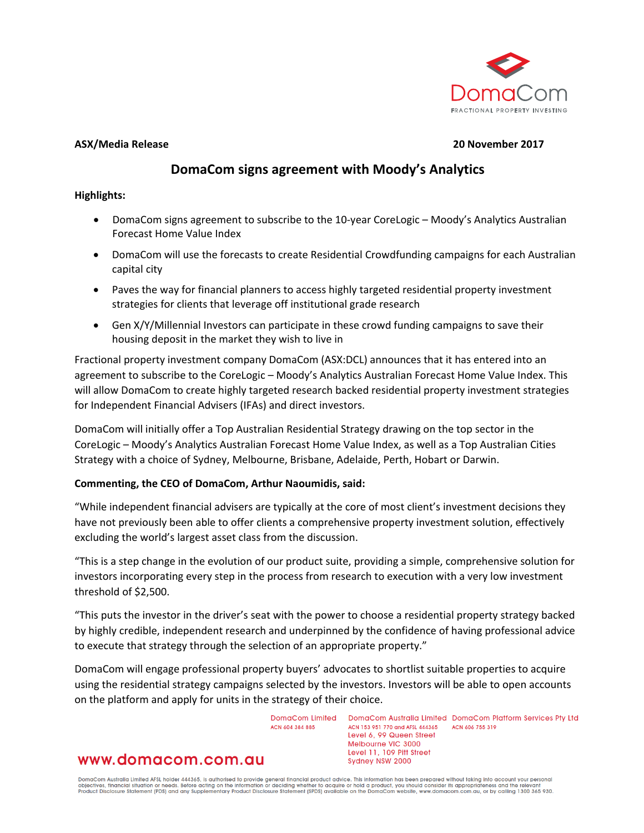

#### **ASX/Media Release 20 November 2017**

# **DomaCom signs agreement with Moody's Analytics**

# **Highlights:**

- DomaCom signs agreement to subscribe to the 10-year CoreLogic Moody's Analytics Australian Forecast Home Value Index
- DomaCom will use the forecasts to create Residential Crowdfunding campaigns for each Australian capital city
- Paves the way for financial planners to access highly targeted residential property investment strategies for clients that leverage off institutional grade research
- Gen X/Y/Millennial Investors can participate in these crowd funding campaigns to save their housing deposit in the market they wish to live in

Fractional property investment company DomaCom (ASX:DCL) announces that it has entered into an agreement to subscribe to the CoreLogic – Moody's Analytics Australian Forecast Home Value Index. This will allow DomaCom to create highly targeted research backed residential property investment strategies for Independent Financial Advisers (IFAs) and direct investors.

DomaCom will initially offer a Top Australian Residential Strategy drawing on the top sector in the CoreLogic – Moody's Analytics Australian Forecast Home Value Index, as well as a Top Australian Cities Strategy with a choice of Sydney, Melbourne, Brisbane, Adelaide, Perth, Hobart or Darwin.

# **Commenting, the CEO of DomaCom, Arthur Naoumidis, said:**

"While independent financial advisers are typically at the core of most client's investment decisions they have not previously been able to offer clients a comprehensive property investment solution, effectively excluding the world's largest asset class from the discussion.

"This is a step change in the evolution of our product suite, providing a simple, comprehensive solution for investors incorporating every step in the process from research to execution with a very low investment threshold of \$2,500.

"This puts the investor in the driver's seat with the power to choose a residential property strategy backed by highly credible, independent research and underpinned by the confidence of having professional advice to execute that strategy through the selection of an appropriate property."

DomaCom will engage professional property buyers' advocates to shortlist suitable properties to acquire using the residential strategy campaigns selected by the investors. Investors will be able to open accounts on the platform and apply for units in the strategy of their choice.

> DomaCom Limited ACN 604 384 885

www.domacom.com.au

DomaCom Australia Limited DomaCom Platform Services Pty Ltd ACN 153 951 770 and AFSL 444365 ACN 606 755 319 Level 6, 99 Queen Street Melbourne VIC 3000 Level 11, 109 Pitt Street Sydney NSW 2000

DomaCom Australia Limited AFSL holder 444365, is authorised to provide general financial product advice. This information has been prepared without taking into account your personal<br>objectives, financial situation or needs